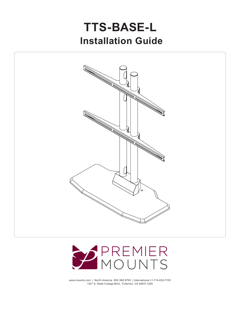# **Installation Guide TTS-BASE-L**





www.mounts.com | North America 800.368.9700 | International +1-714-632-7100 1321 S. State College Blvd., Fullerton, CA 92831 USA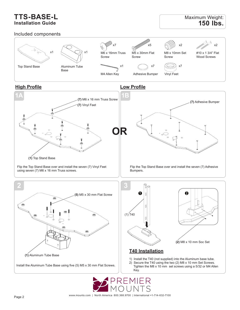## **TTS-BASE-L Installation Guide**

#### Included components

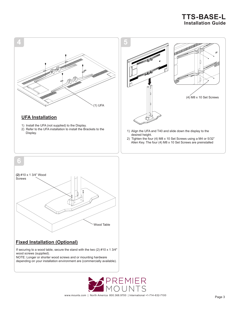# **TTS-BASE-L Installation Guide**





### **Fixed Installation (Optional)**

If securing to a wood table, secure the stand with the two  $(2)$  #10 x 1 3/4" wood screws (supplied).

NOTE: Longer or shorter wood screws and or mounting hardware depending on your installation environment are (commercially available).